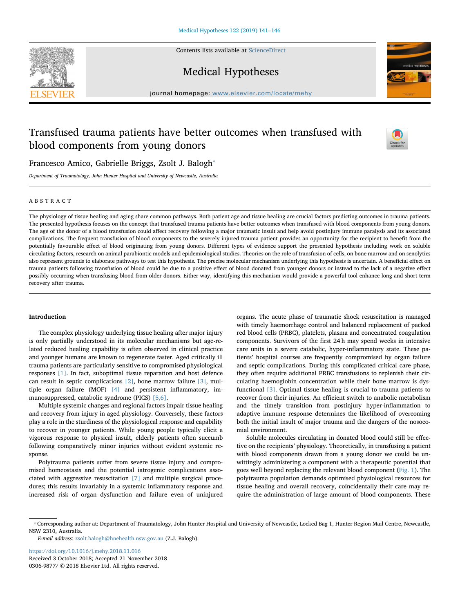

Contents lists available at [ScienceDirect](http://www.sciencedirect.com/science/journal/03069877)

# Medical Hypotheses



journal homepage: [www.elsevier.com/locate/mehy](https://www.elsevier.com/locate/mehy)/ $\frac{1}{\sqrt{N}}$ 

# Transfused trauma patients have better outcomes when transfused with blood components from young donors



Francesco Amico, Gabrielle Briggs, Zsolt J. Balogh<sup>®</sup>

Department of Traumatology, John Hunter Hospital and University of Newcastle, Australia

#### ABSTRACT

The physiology of tissue healing and aging share common pathways. Both patient age and tissue healing are crucial factors predicting outcomes in trauma patients. The presented hypothesis focuses on the concept that transfused trauma patients have better outcomes when transfused with blood components from young donors. The age of the donor of a blood transfusion could affect recovery following a major traumatic insult and help avoid postinjury immune paralysis and its associated complications. The frequent transfusion of blood components to the severely injured trauma patient provides an opportunity for the recipient to benefit from the potentially favourable effect of blood originating from young donors. Different types of evidence support the presented hypothesis including work on soluble circulating factors, research on animal parabiontic models and epidemiological studies. Theories on the role of transfusion of cells, on bone marrow and on senolytics also represent grounds to elaborate pathways to test this hypothesis. The precise molecular mechanism underlying this hypothesis is uncertain. A beneficial effect on trauma patients following transfusion of blood could be due to a positive effect of blood donated from younger donors or instead to the lack of a negative effect possibly occurring when transfusing blood from older donors. Either way, identifying this mechanism would provide a powerful tool enhance long and short term recovery after trauma.

#### Introduction

The complex physiology underlying tissue healing after major injury is only partially understood in its molecular mechanisms but age-related reduced healing capability is often observed in clinical practice and younger humans are known to regenerate faster. Aged critically ill trauma patients are particularly sensitive to compromised physiological responses [\[1\]](#page-4-0). In fact, suboptimal tissue reparation and host defence can result in septic complications [\[2\]](#page-4-1), bone marrow failure [\[3\]](#page-4-2), multiple organ failure (MOF) [\[4\]](#page-4-3) and persistent inflammatory, immunosuppressed, catabolic syndrome (PICS) [\[5,6\].](#page-4-4)

Multiple systemic changes and regional factors impair tissue healing and recovery from injury in aged physiology. Conversely, these factors play a role in the sturdiness of the physiological response and capability to recover in younger patients. While young people typically elicit a vigorous response to physical insult, elderly patients often succumb following comparatively minor injuries without evident systemic response.

Polytrauma patients suffer from severe tissue injury and compromised homeostasis and the potential iatrogenic complications associated with aggressive resuscitation [\[7\]](#page-4-5) and multiple surgical procedures; this results invariably in a systemic inflammatory response and increased risk of organ dysfunction and failure even of uninjured organs. The acute phase of traumatic shock resuscitation is managed with timely haemorrhage control and balanced replacement of packed red blood cells (PRBC), platelets, plasma and concentrated coagulation components. Survivors of the first 24 h may spend weeks in intensive care units in a severe catabolic, hyper-inflammatory state. These patients' hospital courses are frequently compromised by organ failure and septic complications. During this complicated critical care phase, they often require additional PRBC transfusions to replenish their circulating haemoglobin concentration while their bone marrow is dysfunctional [\[3\].](#page-4-2) Optimal tissue healing is crucial to trauma patients to recover from their injuries. An efficient switch to anabolic metabolism and the timely transition from postinjury hyper-inflammation to adaptive immune response determines the likelihood of overcoming both the initial insult of major trauma and the dangers of the nosocomial environment.

Soluble molecules circulating in donated blood could still be effective on the recipients' physiology. Theoretically, in transfusing a patient with blood components drawn from a young donor we could be unwittingly administering a component with a therapeutic potential that goes well beyond replacing the relevant blood component ([Fig. 1\)](#page-1-0). The polytrauma population demands optimised physiological resources for tissue healing and overall recovery, coincidentally their care may require the administration of large amount of blood components. These

<https://doi.org/10.1016/j.mehy.2018.11.016> Received 3 October 2018; Accepted 21 November 2018 0306-9877/ © 2018 Elsevier Ltd. All rights reserved.

<span id="page-0-0"></span><sup>⁎</sup> Corresponding author at: Department of Traumatology, John Hunter Hospital and University of Newcastle, Locked Bag 1, Hunter Region Mail Centre, Newcastle, NSW 2310, Australia.

E-mail address: [zsolt.balogh@hnehealth.nsw.gov.au](mailto:zsolt.balogh@hnehealth.nsw.gov.au) (Z.J. Balogh).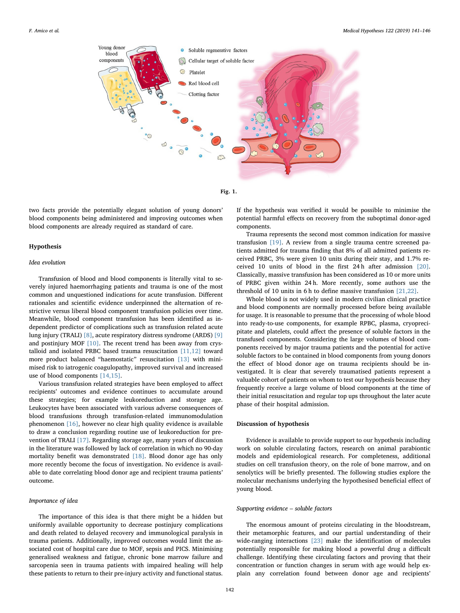<span id="page-1-0"></span>

Fig. 1.

two facts provide the potentially elegant solution of young donors' blood components being administered and improving outcomes when blood components are already required as standard of care.

### Hypothesis

#### Idea evolution

Transfusion of blood and blood components is literally vital to severely injured haemorrhaging patients and trauma is one of the most common and unquestioned indications for acute transfusion. Different rationales and scientific evidence underpinned the alternation of restrictive versus liberal blood component transfusion policies over time. Meanwhile, blood component transfusion has been identified as independent predictor of complications such as transfusion related acute lung injury (TRALI) [\[8\]](#page-4-6), acute respiratory distress syndrome (ARDS) [\[9\]](#page-4-7) and postinjury MOF [\[10\]](#page-4-8). The recent trend has been away from crystalloid and isolated PRBC based trauma resuscitation [\[11,12\]](#page-4-9) toward more product balanced "haemostatic" resuscitation [\[13\]](#page-4-10) with minimised risk to iatrogenic coagulopathy, improved survival and increased use of blood components [\[14,15\]](#page-4-11).

Various transfusion related strategies have been employed to affect recipients' outcomes and evidence continues to accumulate around these strategies; for example leukoreduction and storage age. Leukocytes have been associated with various adverse consequences of blood transfusions through transfusion-related immunomodulation phenomenon [\[16\],](#page-4-12) however no clear high quality evidence is available to draw a conclusion regarding routine use of leukoreduction for prevention of TRALI [\[17\]](#page-4-13). Regarding storage age, many years of discussion in the literature was followed by lack of correlation in which no 90-day mortality benefit was demonstrated [\[18\]](#page-4-14). Blood donor age has only more recently become the focus of investigation. No evidence is available to date correlating blood donor age and recipient trauma patients' outcome.

# Importance of idea

The importance of this idea is that there might be a hidden but uniformly available opportunity to decrease postinjury complications and death related to delayed recovery and immunological paralysis in trauma patients. Additionally, improved outcomes would limit the associated cost of hospital care due to MOF, sepsis and PICS. Minimising generalised weakness and fatigue, chronic bone marrow failure and sarcopenia seen in trauma patients with impaired healing will help these patients to return to their pre-injury activity and functional status.

If the hypothesis was verified it would be possible to minimise the potential harmful effects on recovery from the suboptimal donor-aged components.

Trauma represents the second most common indication for massive transfusion [\[19\].](#page-4-15) A review from a single trauma centre screened patients admitted for trauma finding that 8% of all admitted patients received PRBC, 3% were given 10 units during their stay, and 1.7% received 10 units of blood in the first 24 h after admission [\[20\]](#page-4-16). Classically, massive transfusion has been considered as 10 or more units of PRBC given within 24 h. More recently, some authors use the threshold of 10 units in 6 h to define massive transfusion [\[21,22\].](#page-4-17)

Whole blood is not widely used in modern civilian clinical practice and blood components are normally processed before being available for usage. It is reasonable to presume that the processing of whole blood into ready-to-use components, for example RPBC, plasma, cryoprecipitate and platelets, could affect the presence of soluble factors in the transfused components. Considering the large volumes of blood components received by major trauma patients and the potential for active soluble factors to be contained in blood components from young donors the effect of blood donor age on trauma recipients should be investigated. It is clear that severely traumatised patients represent a valuable cohort of patients on whom to test our hypothesis because they frequently receive a large volume of blood components at the time of their initial resuscitation and regular top ups throughout the later acute phase of their hospital admission.

#### Discussion of hypothesis

Evidence is available to provide support to our hypothesis including work on soluble circulating factors, research on animal parabiontic models and epidemiological research. For completeness, additional studies on cell transfusion theory, on the role of bone marrow, and on senolytics will be briefly presented. The following studies explore the molecular mechanisms underlying the hypothesised beneficial effect of young blood.

### Supporting evidence – soluble factors

The enormous amount of proteins circulating in the bloodstream, their metamorphic features, and our partial understanding of their wide-ranging interactions [\[23\]](#page-4-18) make the identification of molecules potentially responsible for making blood a powerful drug a difficult challenge. Identifying these circulating factors and proving that their concentration or function changes in serum with age would help explain any correlation found between donor age and recipients'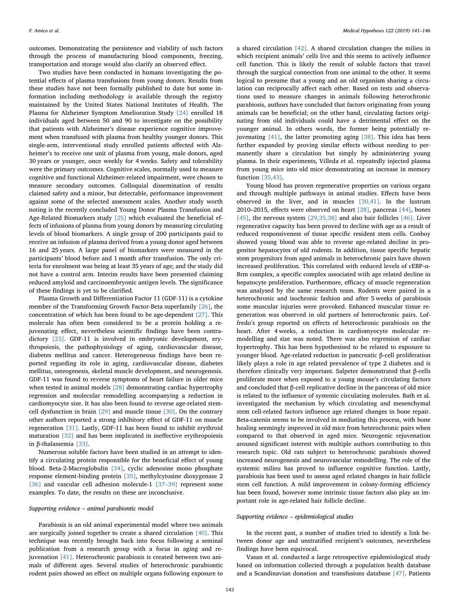outcomes. Demonstrating the persistence and viability of such factors through the process of manufacturing blood components, freezing, transportation and storage would also clarify an observed effect.

Two studies have been conducted in humans investigating the potential effects of plasma transfusions from young donors. Results from these studies have not been formally published to date but some information including methodology is available through the registry maintained by the United States National Institutes of Health. The Plasma for Alzheimer Symptom Amelioration Study [\[24\]](#page-4-19) enrolled 18 individuals aged between 50 and 90 to investigate on the possibility that patients with Alzheimer's disease experience cognitive improvement when transfused with plasma from healthy younger donors. This single-arm, interventional study enrolled patients affected with Alzheimer's to receive one unit of plasma from young, male donors, aged 30 years or younger, once weekly for 4 weeks. Safety and tolerability were the primary outcomes. Cognitive scales, normally used to measure cognitive and functional Alzheimer-related impairment, were chosen to measure secondary outcomes. Colloquial dissemination of results claimed safety and a minor, but detectable, performance improvement against some of the selected assessment scales. Another study worth noting is the recently concluded Young Donor Plasma Transfusion and Age-Related Biomarkers study [\[25\]](#page-4-20) which evaluated the beneficial effects of infusions of plasma from young donors by measuring circulating levels of blood biomarkers. A single group of 200 participants paid to receive an infusion of plasma derived from a young donor aged between 16 and 25 years. A large panel of biomarkers were measured in the participants' blood before and 1 month after transfusion. The only criteria for enrolment was being at least 35 years of age; and the study did not have a control arm. Interim results have been presented claiming reduced amyloid and carcinoembryonic antigen levels. The significance of these findings is yet to be clarified.

Plasma Growth and Differentiation Factor 11 (GDF-11) is a cytokine member of the Transforming Growth Factor-Beta superfamily [\[26\],](#page-4-21) the concentration of which has been found to be age-dependent [\[27\]](#page-4-22). This molecule has often been considered to be a protein holding a rejuvenating effect, nevertheless scientific findings have been contradictory [\[23\]](#page-4-18). GDF-11 is involved in embryonic development, erythropoiesis, the pathophysiology of aging, cardiovascular disease, diabetes mellitus and cancer. Heterogeneous findings have been reported regarding its role in aging, cardiovascular disease, diabetes mellitus, osteogenesis, skeletal muscle development, and neurogenesis. GDF-11 was found to reverse symptoms of heart failure in older mice when tested in animal models [\[28\]](#page-4-23) demonstrating cardiac hypertrophy regression and molecular remodelling accompanying a reduction in cardiomyocyte size. It has also been found to reverse age-related stemcell dysfunction in brain [\[29\]](#page-4-24) and muscle tissue [\[30\]](#page-4-25). On the contrary other authors reported a strong inhibitory effect of GDF-11 on muscle regeneration [\[31\].](#page-4-26) Lastly, GDF-11 has been found to inhibit erythroid maturation [\[32\]](#page-4-27) and has been implicated in ineffective erythropoiesis in β-thalassemia [\[33\]](#page-4-28).

Numerous soluble factors have been studied in an attempt to identify a circulating protein responsible for the beneficial effect of young blood. Beta-2-Macroglobulin [\[34\],](#page-4-29) cyclic adenosine mono phosphate response element-binding protein [\[35\]](#page-4-30), methylcytosine dioxygenase 2 [\[36\]](#page-4-31) and vascular cell adhesion molecule-1 [\[37](#page-4-32)-39] represent some examples. To date, the results on these are inconclusive.

#### Supporting evidence – animal parabiontic model

Parabiosis is an old animal experimental model where two animals are surgically joined together to create a shared circulation [\[40\].](#page-4-33) This technique was recently brought back into focus following a seminal publication from a research group with a focus in aging and rejuvenation [\[41\].](#page-5-0) Heterochronic parabiosis is created between two animals of different ages. Several studies of heterochronic parabiontic rodent pairs showed an effect on multiple organs following exposure to a shared circulation [\[42\]](#page-5-1). A shared circulation changes the milieu in which recipient animals' cells live and this seems to actively influence cell function. This is likely the result of soluble factors that travel through the surgical connection from one animal to the other. It seems logical to presume that a young and an old organism sharing a circulation can reciprocally affect each other. Based on tests and observations used to measure changes in animals following heterochronic parabiosis, authors have concluded that factors originating from young animals can be beneficial; on the other hand, circulating factors originating from old individuals could have a detrimental effect on the younger animal. In others words, the former being potentially rejuvenating  $[41]$ , the latter promoting aging  $[38]$ . This idea has been further expanded by proving similar effects without needing to permanently share a circulation but simply by administering young plasma. In their experiments, Villeda et al. repeatedly injected plasma from young mice into old mice demonstrating an increase in memory function [\[35,43\]](#page-4-30).

Young blood has proven regenerative properties on various organs and through multiple pathways in animal studies. Effects have been observed in the liver, and in muscles [\[30,41\].](#page-4-25) In the lustrum 2010–2015, effects were observed on heart [\[28\]](#page-4-23), pancreas [\[44\],](#page-5-2) bones [\[45\]](#page-5-3), the nervous system [\[29,35,38\]](#page-4-24) and also hair follicles [\[46\].](#page-5-4) Liver regenerative capacity has been proved to decline with age as a result of reduced responsiveness of tissue specific resident stem cells. Conboy showed young blood was able to reverse age-related decline in progenitor hepatocytes of old rodents. In addition, tissue specific hepatic stem progenitors from aged animals in heterochronic pairs have shown increased proliferation. This correlated with reduced levels of cEBP-α-Brm complex, a specific complex associated with age related decline in hepatocyte proliferation. Furthermore, efficacy of muscle regeneration was analysed by the same research team. Rodents were paired in a heterochronic and isochronic fashion and after 5 weeks of parabiosis some muscular injuries were provoked. Enhanced muscular tissue regeneration was observed in old partners of heterochronic pairs. Loffredo's group reported on effects of heterochronic parabiosis on the heart. After 4 weeks, a reduction in cardiomyocyte molecular remodelling and size was noted. There was also regression of cardiac hypertrophy. This has been hypothesised to be related to exposure to younger blood. Age-related reduction in pancreatic β-cell proliferation likely plays a role in age related prevalence of type 2 diabetes and is therefore clinically very important. Salpeter demonstrated that β-cells proliferate more when exposed to a young mouse's circulating factors and concluded that β-cell replicative decline in the pancreas of old mice is related to the influence of systemic circulating molecules. Bath et al. investigated the mechanism by which circulating and mesenchymal stem cell-related factors influence age related changes in bone repair. Beta-catenin seems to be involved in mediating this process, with bone healing seemingly improved in old mice from heterochronic pairs when compared to that observed in aged mice. Neurogenic rejuvenation aroused significant interest with multiple authors contributing to this research topic. Old rats subject to heterochronic parabiosis showed increased neurogenesis and neurovascular remodelling. The role of the systemic milieu has proved to influence cognitive function. Lastly, parabiosis has been used to assess aged related changes in hair follicle stem cell function. A mild improvement in colony-forming efficiency has been found, however some intrinsic tissue factors also play an important role in age-related hair follicle decline.

#### Supporting evidence – epidemiological studies

In the recent past, a number of studies tried to identify a link between donor age and unstratified recipient's outcomes, nevertheless findings have been equivocal.

Vasan et al. conducted a large retrospective epidemiological study based on information collected through a population health database and a Scandinavian donation and transfusions database [\[47\]](#page-5-5). Patients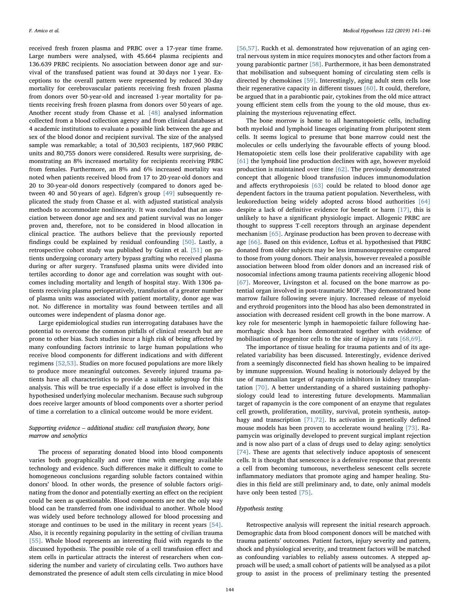received fresh frozen plasma and PRBC over a 17-year time frame. Large numbers were analysed, with 45.664 plasma recipients and 136.639 PRBC recipients. No association between donor age and survival of the transfused patient was found at 30 days nor 1 year. Exceptions to the overall pattern were represented by reduced 30-day mortality for cerebrovascular patients receiving fresh frozen plasma from donors over 50-year-old and increased 1-year mortality for patients receiving fresh frozen plasma from donors over 50 years of age. Another recent study from Chasse et al. [\[48\]](#page-5-6) analysed information collected from a blood collection agency and from clinical databases at 4 academic institutions to evaluate a possible link between the age and sex of the blood donor and recipient survival. The size of the analysed sample was remarkable; a total of 30,503 recipients, 187,960 PRBC units and 80,755 donors were considered. Results were surprising, demonstrating an 8% increased mortality for recipients receiving PRBC from females. Furthermore, an 8% and 6% increased mortality was noted when patients received blood from 17 to 20-year-old donors and 20 to 30-year-old donors respectively (compared to donors aged between 40 and 50 years of age). Edgren's group [\[49\]](#page-5-7) subsequently replicated the study from Chasse et al. with adjusted statistical analysis methods to accommodate nonlinearity. It was concluded that an association between donor age and sex and patient survival was no longer proven and, therefore, not to be considered in blood allocation in clinical practice. The authors believe that the previously reported findings could be explained by residual confounding [\[50\].](#page-5-8) Lastly, a retrospective cohort study was published by Guinn et al. [\[51\]](#page-5-9) on patients undergoing coronary artery bypass grafting who received plasma during or after surgery. Transfused plasma units were divided into tertiles according to donor age and correlation was sought with outcomes including mortality and length of hospital stay. With 1306 patients receiving plasma perioperatively, transfusion of a greater number of plasma units was associated with patient mortality, donor age was not. No difference in mortality was found between tertiles and all outcomes were independent of plasma donor age.

Large epidemiological studies run interrogating databases have the potential to overcome the common pitfalls of clinical research but are prone to other bias. Such studies incur a high risk of being affected by many confounding factors intrinsic to large human populations who receive blood components for different indications and with different regimens [\[52,53\].](#page-5-10) Studies on more focused populations are more likely to produce more meaningful outcomes. Severely injured trauma patients have all characteristics to provide a suitable subgroup for this analysis. This will be true especially if a dose effect is involved in the hypothesised underlying molecular mechanism. Because such subgroup does receive larger amounts of blood components over a shorter period of time a correlation to a clinical outcome would be more evident.

# Supporting evidence – additional studies: cell transfusion theory, bone marrow and senolytics

The process of separating donated blood into blood components varies both geographically and over time with emerging available technology and evidence. Such differences make it difficult to come to homogeneous conclusions regarding soluble factors contained within donors' blood. In other words, the presence of soluble factors originating from the donor and potentially exerting an effect on the recipient could be seen as questionable. Blood components are not the only way blood can be transferred from one individual to another. Whole blood was widely used before technology allowed for blood processing and storage and continues to be used in the military in recent years [\[54\]](#page-5-11). Also, it is recently regaining popularity in the setting of civilian trauma [\[55\]](#page-5-12). Whole blood represents an interesting fluid with regards to the discussed hypothesis. The possible role of a cell transfusion effect and stem cells in particular attracts the interest of researchers when considering the number and variety of circulating cells. Two authors have demonstrated the presence of adult stem cells circulating in mice blood

[\[56,57\].](#page-5-13) Ruckh et al. demonstrated how rejuvenation of an aging central nervous system in mice requires monocytes and other factors from a young parabiontic partner [\[58\]](#page-5-14). Furthermore, it has been demonstrated that mobilisation and subsequent homing of circulating stem cells is directed by chemokines [\[59\]](#page-5-15). Interestingly, aging adult stem cells lose their regenerative capacity in different tissues [\[60\].](#page-5-16) It could, therefore, be argued that in a parabiontic pair, cytokines from the old mice attract young efficient stem cells from the young to the old mouse, thus explaining the mysterious rejuvenating effect.

The bone morrow is home to all haematopoietic cells, including both myeloid and lymphoid lineages originating from pluripotent stem cells. It seems logical to presume that bone marrow could nest the molecules or cells underlying the favourable effects of young blood. Hematopoietic stem cells lose their proliferative capability with age [\[61\]](#page-5-17) the lymphoid line production declines with age, however myeloid production is maintained over time [\[62\].](#page-5-18) The previously demonstrated concept that allogenic blood transfusion induces immunomodulation and affects erythropoiesis [\[63\]](#page-5-19) could be related to blood donor age dependent factors in the trauma patient population. Nevertheless, with leukoreduction being widely adopted across blood authorities [\[64\]](#page-5-20) despite a lack of definitive evidence for benefit or harm [\[17\]](#page-4-13), this is unlikely to have a significant physiologic impact. Allogenic PRBC are thought to suppress T-cell receptors through an arginase dependent mechanism [\[65\]](#page-5-21). Arginase production has been proven to decrease with age [\[66\]](#page-5-22). Based on this evidence, Loftus et al. hypothesised that PRBC donated from older subjects may be less immunosuppressive compared to those from young donors. Their analysis, however revealed a possible association between blood from older donors and an increased risk of nosocomial infections among trauma patients receiving allogenic blood [\[67\]](#page-5-23). Moreover, Livingston et al. focused on the bone marrow as potential organ involved in post-traumatic MOF. They demonstrated bone marrow failure following severe injury. Increased release of myeloid and erythroid progenitors into the blood has also been demonstrated in association with decreased resident cell growth in the bone marrow. A key role for mesenteric lymph in haemopoietic failure following haemorrhagic shock has been demonstrated together with evidence of mobilisation of progenitor cells to the site of injury in rats [\[68,69\].](#page-5-24)

The importance of tissue healing for trauma patients and of its agerelated variability has been discussed. Interestingly, evidence derived from a seemingly disconnected field has shown healing to be impaired by immune suppression. Wound healing is notoriously delayed by the use of mammalian target of rapamycin inhibitors in kidney transplantation [\[70\]](#page-5-25). A better understanding of a shared sustaining pathophysiology could lead to interesting future developments. Mammalian target of rapamycin is the core component of an enzyme that regulates cell growth, proliferation, motility, survival, protein synthesis, autop-hagy and transcription [\[71,72\].](#page-5-26) Its activation in genetically defined mouse models has been proven to accelerate wound healing [\[73\].](#page-5-27) Rapamycin was originally developed to prevent surgical implant rejection and is now also part of a class of drugs used to delay aging: senolytics [\[74\]](#page-5-28). These are agents that selectively induce apoptosis of senescent cells. It is thought that senescence is a defensive response that prevents a cell from becoming tumorous, nevertheless senescent cells secrete inflammatory mediators that promote aging and hamper healing. Studies in this field are still preliminary and, to date, only animal models have only been tested [\[75\].](#page-5-29)

# Hypothesis testing

Retrospective analysis will represent the initial research approach. Demographic data from blood component donors will be matched with trauma patients' outcomes. Patient factors, injury severity and pattern, shock and physiological severity, and treatment factors will be matched as confounding variables to reliably assess outcomes. A stepped approach will be used; a small cohort of patients will be analysed as a pilot group to assist in the process of preliminary testing the presented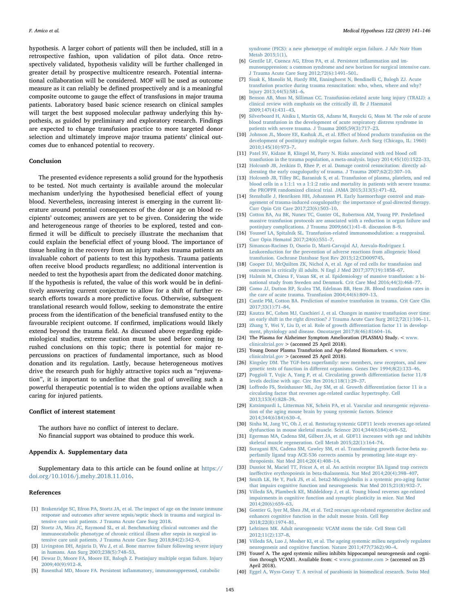hypothesis. A larger cohort of patients will then be included, still in a retrospective fashion, upon validation of pilot data. Once retrospectively validated, hypothesis validity will be further challenged in greater detail by prospective multicentre research. Potential international collaboration will be considered. MOF will be used as outcome measure as it can reliably be defined prospectively and is a meaningful composite outcome to gauge the effect of transfusions in major trauma patients. Laboratory based basic science research on clinical samples will target the best supposed molecular pathway underlying this hypothesis, as guided by preliminary and exploratory research. Findings are expected to change transfusion practice to more targeted donor selection and ultimately improve major trauma patients' clinical outcomes due to enhanced potential to recovery.

#### Conclusion

The presented evidence represents a solid ground for the hypothesis to be tested. Not much certainty is available around the molecular mechanism underlying the hypothesised beneficial effect of young blood. Nevertheless, increasing interest is emerging in the current literature around potential consequences of the donor age on blood recipients' outcomes; answers are yet to be given. Considering the wide and heterogeneous range of theories to be explored, tested and confirmed it will be difficult to precisely illustrate the mechanism that could explain the beneficial effect of young blood. The importance of tissue healing in the recovery from an injury makes trauma patients an invaluable cohort of patients to test this hypothesis. Trauma patients often receive blood products regardless; no additional intervention is needed to test the hypothesis apart from the dedicated donor matching. If the hypothesis is refuted, the value of this work would be in definitively answering current conjecture to allow for a shift of further research efforts towards a more predictive focus. Otherwise, subsequent translational research would follow, seeking to demonstrate the entire process from the identification of the beneficial transfused entity to the favourable recipient outcome. If confirmed, implications would likely extend beyond the trauma field. As discussed above regarding epidemiological studies, extreme caution must be used before coming to rushed conclusions on this topic; there is potential for major repercussions on practices of fundamental importance, such as blood donation and its regulation. Lastly, because heterogeneous motives drive the research push for highly attractive topics such as "rejuvenation", it is important to underline that the goal of unveiling such a powerful therapeutic potential is to widen the options available when caring for injured patients.

#### Conflict of interest statement

The authors have no conflict of interest to declare. No financial support was obtained to produce this work.

## Appendix A. Supplementary data

Supplementary data to this article can be found online at [https://](https://doi.org/10.1016/j.mehy.2018.11.016) [doi.org/10.1016/j.mehy.2018.11.016.](https://doi.org/10.1016/j.mehy.2018.11.016)

### References

- <span id="page-4-0"></span>[1] [Brakenridge SC, Efron PA, Stortz JA, et al. The impact of age on the innate immune](http://refhub.elsevier.com/S0306-9877(18)31010-7/h0005) [response and outcomes after severe sepsis/septic shock in trauma and surgical in](http://refhub.elsevier.com/S0306-9877(18)31010-7/h0005)[tensive care unit patients. J Trauma Acute Care Surg 2018.](http://refhub.elsevier.com/S0306-9877(18)31010-7/h0005)
- <span id="page-4-1"></span>[2] [Stortz JA, Mira JC, Raymond SL, et al. Benchmarking clinical outcomes and the](http://refhub.elsevier.com/S0306-9877(18)31010-7/h0010) [immunocatabolic phenotype of chronic critical illness after sepsis in surgical in](http://refhub.elsevier.com/S0306-9877(18)31010-7/h0010)[tensive care unit patients. J Trauma Acute Care Surg 2018;84\(2\):342](http://refhub.elsevier.com/S0306-9877(18)31010-7/h0010)–9.
- <span id="page-4-2"></span>[3] [Livingston DH, Anjaria D, Wu J, et al. Bone marrow failure following severe injury](http://refhub.elsevier.com/S0306-9877(18)31010-7/h0015) [in humans. Ann Surg 2003;238\(5\):748](http://refhub.elsevier.com/S0306-9877(18)31010-7/h0015)–53.
- <span id="page-4-3"></span>[4] [Dewar D, Moore FA, Moore EE, Balogh Z. Postinjury multiple organ failure. Injury](http://refhub.elsevier.com/S0306-9877(18)31010-7/h0020) [2009;40\(9\):912](http://refhub.elsevier.com/S0306-9877(18)31010-7/h0020)–8.
- <span id="page-4-4"></span>[5] Rosenthal MD, Moore FA. Persistent infl[ammatory, immunosuppressed, catabolic](http://refhub.elsevier.com/S0306-9877(18)31010-7/h0025)

[syndrome \(PICS\): a new phenotype of multiple organ failure. J Adv Nutr Hum](http://refhub.elsevier.com/S0306-9877(18)31010-7/h0025) [Metab 2015;1\(1\).](http://refhub.elsevier.com/S0306-9877(18)31010-7/h0025)

- [6] [Gentile LF, Cuenca AG, Efron PA, et al. Persistent in](http://refhub.elsevier.com/S0306-9877(18)31010-7/h0030)flammation and im[munosuppression: a common syndrome and new horizon for surgical intensive care.](http://refhub.elsevier.com/S0306-9877(18)31010-7/h0030) [J Trauma Acute Care Surg 2012;72\(6\):1491](http://refhub.elsevier.com/S0306-9877(18)31010-7/h0030)–501.
- <span id="page-4-5"></span>[7] [Sisak K, Manolis M, Hardy BM, Enninghorst N, Bendinelli C, Balogh ZJ. Acute](http://refhub.elsevier.com/S0306-9877(18)31010-7/h0035) [transfusion practice during trauma resuscitation: who, when, where and why?](http://refhub.elsevier.com/S0306-9877(18)31010-7/h0035) [Injury 2013;44\(5\):581](http://refhub.elsevier.com/S0306-9877(18)31010-7/h0035)–6.
- <span id="page-4-6"></span>[8] [Benson AB, Moss M, Silliman CC. Transfusion-related acute lung injury \(TRALI\): a](http://refhub.elsevier.com/S0306-9877(18)31010-7/h0040) [clinical review with emphasis on the critically ill. Br J Haematol](http://refhub.elsevier.com/S0306-9877(18)31010-7/h0040) [2009;147\(4\):431](http://refhub.elsevier.com/S0306-9877(18)31010-7/h0040)–43.
- <span id="page-4-7"></span>[9] [Silverboard H, Aisiku I, Martin GS, Adams M, Rozycki G, Moss M. The role of acute](http://refhub.elsevier.com/S0306-9877(18)31010-7/h0045) [blood transfusion in the development of acute respiratory distress syndrome in](http://refhub.elsevier.com/S0306-9877(18)31010-7/h0045) [patients with severe trauma. J Trauma 2005;59\(3\):717](http://refhub.elsevier.com/S0306-9877(18)31010-7/h0045)–23.
- <span id="page-4-8"></span>[10] [Johnson JL, Moore EE, Kashuk JL, et al. E](http://refhub.elsevier.com/S0306-9877(18)31010-7/h0050)ffect of blood products transfusion on the [development of postinjury multiple organ failure. Arch Surg \(Chicago, IL: 1960\)](http://refhub.elsevier.com/S0306-9877(18)31010-7/h0050) [2010;145\(10\):973](http://refhub.elsevier.com/S0306-9877(18)31010-7/h0050)–7.
- <span id="page-4-9"></span>[11] [Patel SV, Kidane B, Klingel M, Parry N. Risks associated with red blood cell](http://refhub.elsevier.com/S0306-9877(18)31010-7/h0055)
- [transfusion in the trauma population, a meta-analysis. Injury 2014;45\(10\):1522](http://refhub.elsevier.com/S0306-9877(18)31010-7/h0055)–33. [12] [Holcomb JB, Jenkins D, Rhee P, et al. Damage control resuscitation: directly ad-](http://refhub.elsevier.com/S0306-9877(18)31010-7/h0060)
- <span id="page-4-10"></span>[dressing the early coagulopathy of trauma. J Trauma 2007;62\(2\):307](http://refhub.elsevier.com/S0306-9877(18)31010-7/h0060)–10. [13] [Holcomb JB, Tilley BC, Baraniuk S, et al. Transfusion of plasma, platelets, and red](http://refhub.elsevier.com/S0306-9877(18)31010-7/h0065) [blood cells in a 1:1:1 vs a 1:1:2 ratio and mortality in patients with severe trauma:](http://refhub.elsevier.com/S0306-9877(18)31010-7/h0065) [the PROPPR randomized clinical trial. JAMA 2015;313\(5\):471](http://refhub.elsevier.com/S0306-9877(18)31010-7/h0065)–82.
- <span id="page-4-11"></span>[14] [Stensballe J, Henriksen HH, Johansson PI. Early haemorrhage control and man](http://refhub.elsevier.com/S0306-9877(18)31010-7/h0070)[agement of trauma-induced coagulopathy: the importance of goal-directed therapy.](http://refhub.elsevier.com/S0306-9877(18)31010-7/h0070) [Curr Opin Crit Care 2017;23\(6\):503](http://refhub.elsevier.com/S0306-9877(18)31010-7/h0070)–10.
- [15] [Cotton BA, Au BK, Nunez TC, Gunter OL, Robertson AM, Young PP. Prede](http://refhub.elsevier.com/S0306-9877(18)31010-7/h0075)fined [massive transfusion protocols are associated with a reduction in organ failure and](http://refhub.elsevier.com/S0306-9877(18)31010-7/h0075) [postinjury complications. J Trauma 2009;66\(1\):41](http://refhub.elsevier.com/S0306-9877(18)31010-7/h0075)–8. discussion 8–9.
- <span id="page-4-12"></span>[16] [Youssef LA, Spitalnik SL. Transfusion-related immunomodulation: a reappraisal.](http://refhub.elsevier.com/S0306-9877(18)31010-7/h0080) [Curr Opin Hematol 2017;24\(6\):551](http://refhub.elsevier.com/S0306-9877(18)31010-7/h0080)–7.
- <span id="page-4-13"></span>[17] [Simancas-Racines D, Osorio D, Marti-Carvajal AJ, Arevalo-Rodriguez I.](http://refhub.elsevier.com/S0306-9877(18)31010-7/h0085) [Leukoreduction for the prevention of adverse reactions from allogeneic blood](http://refhub.elsevier.com/S0306-9877(18)31010-7/h0085) [transfusion. Cochrane Database Syst Rev 2015;12:CD009745.](http://refhub.elsevier.com/S0306-9877(18)31010-7/h0085)
- <span id="page-4-14"></span>[18] [Cooper DJ, McQuilten ZK, Nichol A, et al. Age of red cells for transfusion and](http://refhub.elsevier.com/S0306-9877(18)31010-7/h0090) [outcomes in critically ill adults. N Engl J Med 2017;377\(19\):1858](http://refhub.elsevier.com/S0306-9877(18)31010-7/h0090)–67.
- <span id="page-4-15"></span>[19] [Halmin M, Chiesa F, Vasan SK, et al. Epidemiology of massive transfusion: a bi](http://refhub.elsevier.com/S0306-9877(18)31010-7/h0095)[national study from Sweden and Denmark. Crit Care Med 2016;44\(3\):468](http://refhub.elsevier.com/S0306-9877(18)31010-7/h0095)–77.
- <span id="page-4-16"></span>[20] [Como JJ, Dutton RP, Scalea TM, Edelman BB, Hess JR. Blood transfusion rates in](http://refhub.elsevier.com/S0306-9877(18)31010-7/h0100) [the care of acute trauma. Transfusion 2004;44\(6\):809](http://refhub.elsevier.com/S0306-9877(18)31010-7/h0100)–13.
- <span id="page-4-17"></span>[21] [Cantle PM, Cotton BA. Prediction of massive transfusion in trauma. Crit Care Clin](http://refhub.elsevier.com/S0306-9877(18)31010-7/h0105) [2017;33\(1\):71](http://refhub.elsevier.com/S0306-9877(18)31010-7/h0105)–84.
- [22] [Kautza BC, Cohen MJ, Cuschieri J, et al. Changes in massive transfusion over time:](http://refhub.elsevier.com/S0306-9877(18)31010-7/h0110) [an early shift in the right direction? J Trauma Acute Care Surg 2012;72\(1\):106](http://refhub.elsevier.com/S0306-9877(18)31010-7/h0110)–11.
- <span id="page-4-18"></span>[23] [Zhang Y, Wei Y, Liu D, et al. Role of growth di](http://refhub.elsevier.com/S0306-9877(18)31010-7/h0115)fferentiation factor 11 in develop[ment, physiology and disease. Oncotarget 2017;8\(46\):81604](http://refhub.elsevier.com/S0306-9877(18)31010-7/h0115)–16.
- <span id="page-4-19"></span>[24] The Plasma for Alzheimer Symptom Amelioration (PLASMA) Study. < [www.](http://www.clinicaltrial.gov) [clinicaltrial.gov](http://www.clinicaltrial.gov) > (accessed 25 April 2018).
- <span id="page-4-20"></span>[25] Young Donor Plasma Transfusion and Age-Related Biomarkers. < [www.](http://www.clinicaltrial.gov) [clinicaltrial.gov](http://www.clinicaltrial.gov) > (accessed 25 April 2018).
- <span id="page-4-21"></span>[26] [Kingsley DM. The TGF-beta superfamily: new members, new receptors, and new](http://refhub.elsevier.com/S0306-9877(18)31010-7/h0130) genetic tests of function in diff[erent organisms. Genes Dev 1994;8\(2\):133](http://refhub.elsevier.com/S0306-9877(18)31010-7/h0130)–46.
- <span id="page-4-22"></span>[27] [Poggioli T, Vujic A, Yang P, et al. Circulating growth di](http://refhub.elsevier.com/S0306-9877(18)31010-7/h0135)fferentiation factor 11/8 [levels decline with age. Circ Res 2016;118\(1\):29](http://refhub.elsevier.com/S0306-9877(18)31010-7/h0135)–37.
- <span id="page-4-23"></span>[28] Loff[redo FS, Steinhauser ML, Jay SM, et al. Growth di](http://refhub.elsevier.com/S0306-9877(18)31010-7/h0140)fferentiation factor 11 is a [circulating factor that reverses age-related cardiac hypertrophy. Cell](http://refhub.elsevier.com/S0306-9877(18)31010-7/h0140) [2013;153\(4\):828](http://refhub.elsevier.com/S0306-9877(18)31010-7/h0140)–39.
- <span id="page-4-24"></span>[29] [Katsimpardi L, Litterman NK, Schein PA, et al. Vascular and neurogenic rejuvena](http://refhub.elsevier.com/S0306-9877(18)31010-7/h0145)[tion of the aging mouse brain by young systemic factors. Science](http://refhub.elsevier.com/S0306-9877(18)31010-7/h0145) [2014;344\(6184\):630](http://refhub.elsevier.com/S0306-9877(18)31010-7/h0145)–4.
- <span id="page-4-25"></span>[30] [Sinha M, Jang YC, Oh J, et al. Restoring systemic GDF11 levels reverses age-related](http://refhub.elsevier.com/S0306-9877(18)31010-7/h0150) [dysfunction in mouse skeletal muscle. Science 2014;344\(6184\):649](http://refhub.elsevier.com/S0306-9877(18)31010-7/h0150)–52.
- <span id="page-4-26"></span>[31] Egerman [MA, Cadena SM, Gilbert JA, et al. GDF11 increases with age and inhibits](http://refhub.elsevier.com/S0306-9877(18)31010-7/h0155) [skeletal muscle regeneration. Cell Metab 2015;22\(1\):164](http://refhub.elsevier.com/S0306-9877(18)31010-7/h0155)–74.
- <span id="page-4-27"></span>[32] [Suragani RN, Cadena SM, Cawley SM, et al. Transforming growth factor-beta su](http://refhub.elsevier.com/S0306-9877(18)31010-7/h0160)[perfamily ligand trap ACE-536 corrects anemia by promoting late-stage ery](http://refhub.elsevier.com/S0306-9877(18)31010-7/h0160)[thropoiesis. Nat Med 2014;20\(4\):408](http://refhub.elsevier.com/S0306-9877(18)31010-7/h0160)–14.
- <span id="page-4-28"></span>[33] [Dussiot M, Maciel TT, Fricot A, et al. An activin receptor IIA ligand trap corrects](http://refhub.elsevier.com/S0306-9877(18)31010-7/h0165) ineff[ective erythropoiesis in beta-thalassemia. Nat Med 2014;20\(4\):398](http://refhub.elsevier.com/S0306-9877(18)31010-7/h0165)–407.
- <span id="page-4-29"></span>[34] [Smith LK, He Y, Park JS, et al. beta2-Microglobulin is a systemic pro-aging factor](http://refhub.elsevier.com/S0306-9877(18)31010-7/h0170) [that impairs cognitive function and neurogenesis. Nat Med 2015;21\(8\):932](http://refhub.elsevier.com/S0306-9877(18)31010-7/h0170)–7. [35] [Villeda SA, Plambeck KE, Middeldorp J, et al. Young blood reverses age-related](http://refhub.elsevier.com/S0306-9877(18)31010-7/h0175)
- <span id="page-4-30"></span>[impairments in cognitive function and synaptic plasticity in mice. Nat Med](http://refhub.elsevier.com/S0306-9877(18)31010-7/h0175) [2014;20\(6\):659](http://refhub.elsevier.com/S0306-9877(18)31010-7/h0175)–63.
- <span id="page-4-31"></span>[36] [Gontier G, Iyer M, Shea JM, et al. Tet2 rescues age-related regenerative decline and](http://refhub.elsevier.com/S0306-9877(18)31010-7/h0180) [enhances cognitive function in the adult mouse brain. Cell Rep](http://refhub.elsevier.com/S0306-9877(18)31010-7/h0180) [2018;22\(8\):1974](http://refhub.elsevier.com/S0306-9877(18)31010-7/h0180)–81.
- <span id="page-4-32"></span>[37] [Lehtinen MK. Adult neurogenesis: VCAM stems the tide. Cell Stem Cell](http://refhub.elsevier.com/S0306-9877(18)31010-7/h0185) [2012;11\(2\):137](http://refhub.elsevier.com/S0306-9877(18)31010-7/h0185)–8.
- <span id="page-4-34"></span>[38] [Villeda SA, Luo J, Mosher KI, et al. The ageing systemic milieu negatively regulates](http://refhub.elsevier.com/S0306-9877(18)31010-7/h0190) [neurogenesis and cognitive function. Nature 2011;477\(7362\):90](http://refhub.elsevier.com/S0306-9877(18)31010-7/h0190)–4.
- [39] Yousef A. The aged systemic milieu inhibits hippocampal neurogenesis and cognition through VCAM1. Available from: < [www.grantome.com](http://www.grantome.com) > (accessed on 25 April 2018).
- <span id="page-4-33"></span>[40] [Eggel A, Wyss-Coray T. A revival of parabiosis in biomedical research. Swiss Med](http://refhub.elsevier.com/S0306-9877(18)31010-7/h0200)